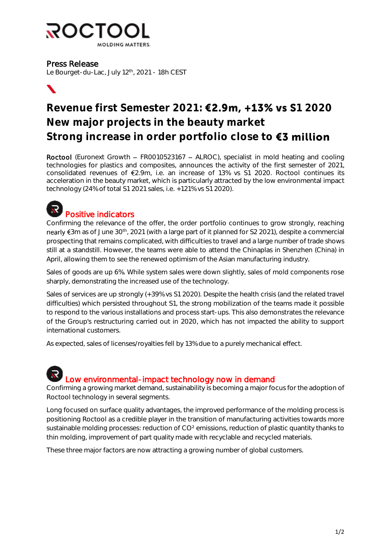

### Press Release

Le Bourget-du-Lac, July 12<sup>th</sup>, 2021 - 18h CEST



## Revenue first Semester 2021: **€2.9m, +13% vs \$**1 2020 New major projects in the beauty market Strong increase in order portfolio close to €3 million

Roctool (Euronext Growth  $-$  FR0010523167  $-$  ALROC), specialist in mold heating and cooling technologies for plastics and composites, announces the activity of the first semester of 2021, consolidated revenues of  $\epsilon$ 2.9m, i.e. an increase of 13% vs S1 2020. Roctool continues its acceleration in the beauty market, which is particularly attracted by the low environmental impact technology (24% of total S1 2021 sales, i.e. +121% vs S1 2020).



Confirming the relevance of the offer, the order portfolio continues to grow strongly, reaching nearly  $\epsilon$ 3m as of June 30<sup>th</sup>, 2021 (with a large part of it planned for S2 2021), despite a commercial prospecting that remains complicated, with difficulties to travel and a large number of trade shows still at a standstill. However, the teams were able to attend the Chinaplas in Shenzhen (China) in April, allowing them to see the renewed optimism of the Asian manufacturing industry.

Sales of goods are up 6%. While system sales were down slightly, sales of mold components rose sharply, demonstrating the increased use of the technology.

Sales of services are up strongly (+39% vs S1 2020). Despite the health crisis (and the related travel difficulties) which persisted throughout S1, the strong mobilization of the teams made it possible to respond to the various installations and process start-ups. This also demonstrates the relevance of the Group's restructuring carried out in 2020, which has not impacted the ability to support international customers.

As expected, sales of licenses/royalties fell by 13% due to a purely mechanical effect.



Confirming a growing market demand, sustainability is becoming a major focus for the adoption of Roctool technology in several segments.

Long focused on surface quality advantages, the improved performance of the molding process is positioning Roctool as a credible player in the transition of manufacturing activities towards more sustainable molding processes: reduction of CO² emissions, reduction of plastic quantity thanks to thin molding, improvement of part quality made with recyclable and recycled materials.

These three major factors are now attracting a growing number of global customers.